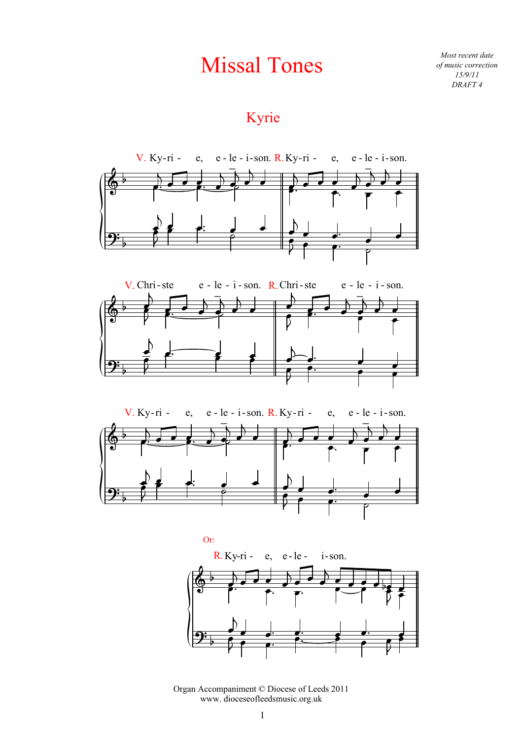# Missal Tones

*Most recent date of music correction 15/9/11 DRAFT 4*

# Kyrie







Organ Accompaniment © Diocese of Leeds 2011 www. dioceseofleedsmusic.org.uk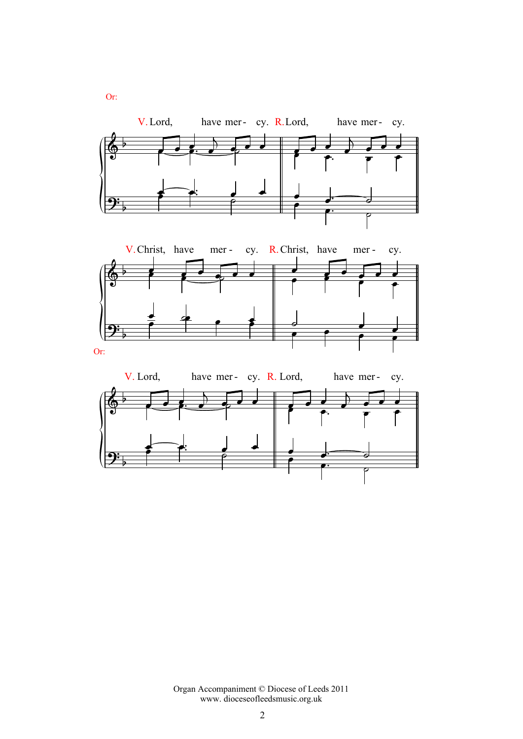

Organ Accompaniment © Diocese of Leeds 2011 www. dioceseofleedsmusic.org.uk

Or: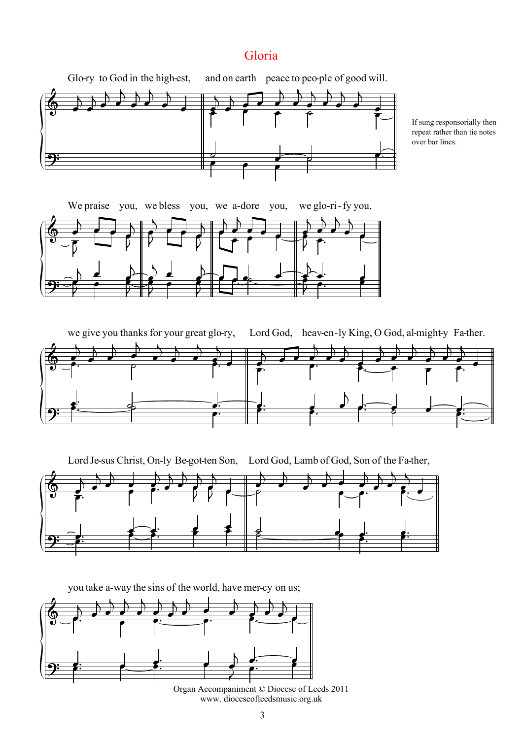### Gloria



If sung responsorially then repeat rather than tie notes over bar lines.



 $\spadesuit$ we<br>
<sup>1</sup>  $\overline{\phantom{a}}$  $\mathbf{r}$ give you thanks for  $\overline{\phantom{a}}$  $\overline{\phantom{a}}$  $\overline{\phantom{a}}$  $\mathbf{I}$ F your great  $\overline{\phantom{a}}$  $\overline{\bullet}$ r<br>K glo- ry,  $\overline{\phantom{a}}$  $\overline{\bullet}$  $\overline{K}$ Lord God, heav-en-ly King, O God, al-might-y Fa-ther.  $\blacksquare$  $\overline{\phantom{a}}$  $\overline{\phantom{a}}$  $\blacksquare$ r<br>T  $\overline{\bullet}$  $\blacksquare$ r<br>K  $\overline{\phantom{a}}$  $\overline{\phantom{a}}$  $\blacksquare$ ।<br>स  $\overline{\phantom{a}}$  $\frac{1}{\cdot}$ r<br>K  $\overline{\phantom{a}}$  $\begin{array}{ccc} \bullet & \bullet' & \bullet' & \bullet' & \bullet' & \bullet' & \bullet' & \bullet' & \bullet \\ \bullet. & \bullet & \bullet & \bullet & \bullet & \bullet & \bullet \\ \end{array}$  <u>g:</u>  $\bullet$   $\bullet$   $\bullet$   $\bullet$   $\bullet$   $\bullet$   $\bullet$  $\overline{a}$  $\bullet$  . The contract of the contract of the contract of the contract of the contract of the contract of the contract of the contract of the contract of the contract of the contract of the contract of the contract of the co  $\overrightarrow{s}$ :  $\leftarrow$ 

 $\circ$  .  $\overline{K}$ Lord Je-sus Christ, On-ly Be-got-ten Son, Lord God, Lamb of God, Son of the Fa-ther,  $\overline{\phantom{a}}$ F  $\overline{\phantom{a}}$  $\overline{\phantom{a}}$  $\overline{\bm s}$  $\overline{\phantom{a}}$ r<br>T  $\overline{\phantom{a}}$  $\overline{\phantom{a}}$ F  $\overline{\phantom{a}}$ F  $\vec{\phantom{a}}$  $\frac{1}{2}$  $\overline{\phantom{a}}$  $\blacksquare$ r<br>K  $\overline{\phantom{a}}$  $\blacksquare$  $\overline{\bullet}$  $\blacksquare$ r<br>K  $\overline{\phantom{a}}$  $\overline{\bullet}$ r<br>K  $\overline{\phantom{a}}$ e<br>F  $\overrightarrow{a}$  $\mathcal{V}$   $\overrightarrow{2}$  $\leftarrow$   $\leftarrow$   $\leftarrow$   $\leftarrow$   $\leftarrow$   $\leftarrow$   $\leftarrow$   $\leftarrow$   $\leftarrow$   $\leftarrow$   $\leftarrow$   $\leftarrow$   $\leftarrow$   $\leftarrow$   $\leftarrow$   $\leftarrow$   $\leftarrow$   $\leftarrow$   $\leftarrow$   $\leftarrow$   $\leftarrow$   $\leftarrow$   $\leftarrow$   $\leftarrow$   $\leftarrow$   $\leftarrow$   $\leftarrow$   $\leftarrow$   $\leftarrow$   $\leftarrow$   $\leftarrow$   $\leftarrow$   $\leftarrow$   $\leftarrow$   $\leftarrow$   $\leftarrow$   $\leftarrow$  $\frac{1}{2}$   $\frac{1}{2}$   $\frac{1}{2}$ **g:**  $\sum$  $\frac{1}{2}$  $\frac{1}{2}$ <u>d:</u> <u>j.</u>



www. dioceseofleedsmusic.org.uk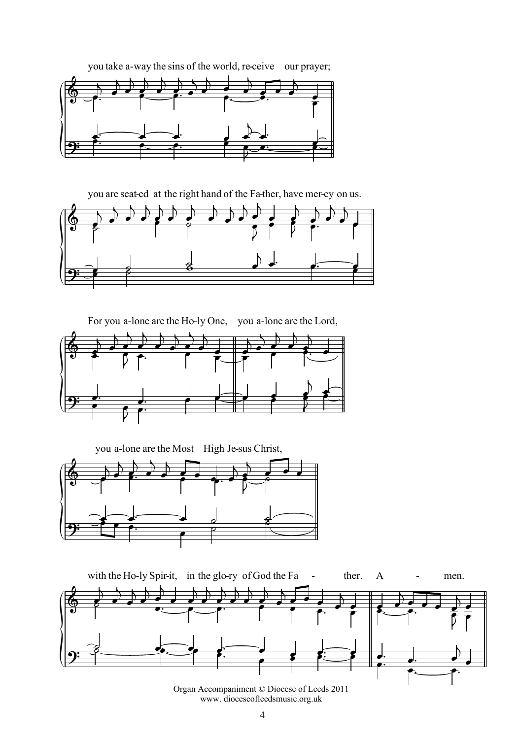

you on us.









Organ Accompaniment © Diocese of Leeds 2011 www. dioceseofleedsmusic.org.uk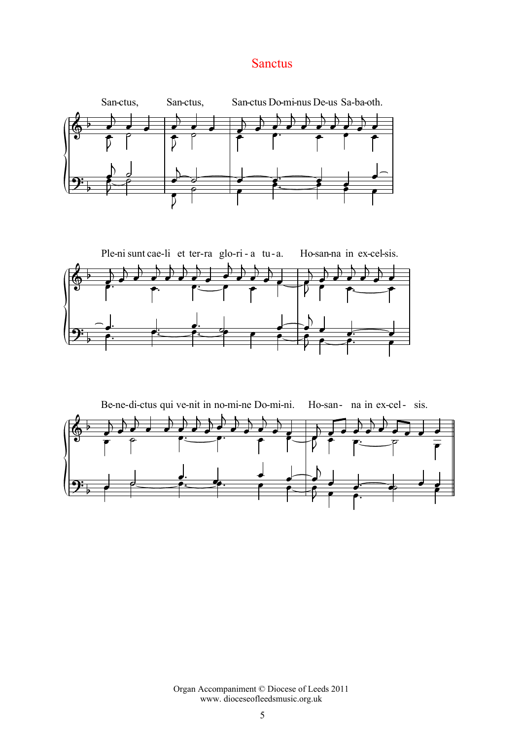#### Sanctus







Organ Accompaniment © Diocese of Leeds 2011 www. dioceseofleedsmusic.org.uk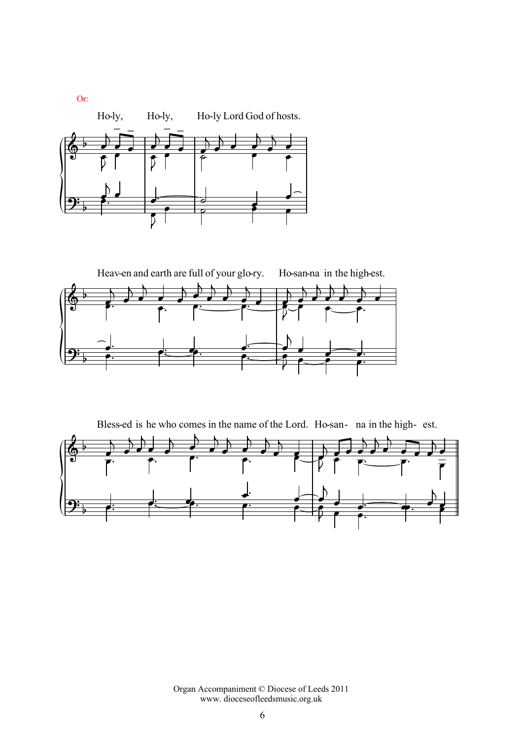

 $\overline{\Phi^+}$  $\overline{\bullet}$  $\overline{a}$ Heav-en and earth are full of your glo-ry.  $\blacksquare$  $\mathbf{r}$  $\overline{\phantom{a}}$  $\overline{\phantom{a}}$  $\blacksquare$  $\mathbf{r}$  $\overline{\phantom{a}}$  $\overline{\phantom{a}}$  $\overline{\phantom{a}}$  $\overline{\phantom{a}}$  $\overline{a}$  $\overline{\phantom{a}}$  $\overline{\phantom{a}}$  $\overline{K}$ Ho-san-na in the high-est.  $\overline{\phantom{a}}$  $\overline{a}$  $\overline{\phantom{a}}$  $\overline{\phantom{a}}$  $\overline{\phantom{a}}$  $\frac{1}{\bullet}$ ∠<br>⊾  $\overline{\phantom{a}}$  $\frac{1}{\epsilon}$  $\frac{1}{\sqrt{2}}$  $\mathcal{V}$  $\frac{1}{\sqrt{1-\frac{1}{\sqrt{1-\frac{1}{\sqrt{1-\frac{1}{\sqrt{1-\frac{1}{\sqrt{1-\frac{1}{\sqrt{1-\frac{1}{\sqrt{1-\frac{1}{\sqrt{1-\frac{1}{\sqrt{1-\frac{1}{\sqrt{1-\frac{1}{\sqrt{1-\frac{1}{\sqrt{1-\frac{1}{\sqrt{1-\frac{1}{\sqrt{1-\frac{1}{\sqrt{1-\frac{1}{\sqrt{1-\frac{1}{\sqrt{1-\frac{1}{\sqrt{1-\frac{1}{\sqrt{1-\frac{1}{\sqrt{1-\frac{1}{\sqrt{1-\frac{1}{\sqrt{1-\frac{1}{\sqrt{1-\frac{1}{\sqrt{1-\frac{1$  $2^{\cdot}$ <u>J.</u>  $\bullet$   $\bullet$   $\bullet$  $\overline{a}$  $\frac{1}{\sqrt{1-\frac{1}{2}}}$  $\frac{\bullet}{\bullet}$  $\overrightarrow{a}$  $\mathcal{V}$  $\begin{array}{ccc} \overline{1} & \overline{1} & \overline{1} \\ \overline{1} & \overline{1} & \overline{1} \\ \overline{1} & \overline{1} & \overline{1} \end{array}$ 

Bless of the Lord. Ho- san na



Organ Accompaniment © Diocese of Leeds 2011 www. dioceseofleedsmusic.org.uk

Or: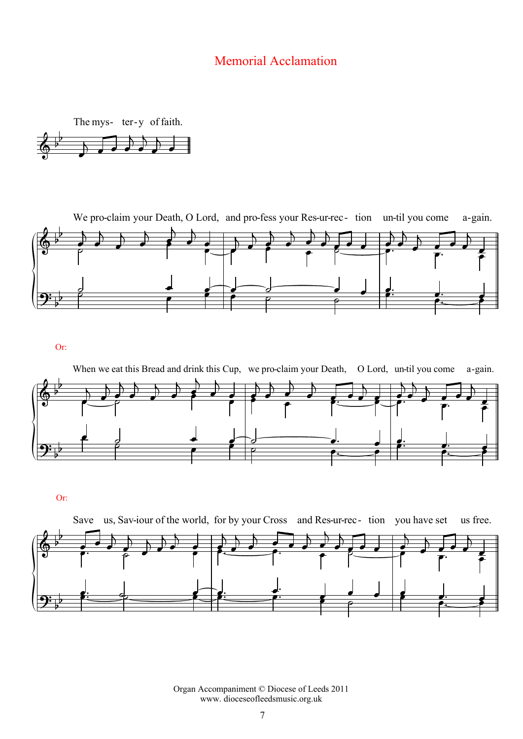## Memorial Acclamation





Or:



Or:



Organ Accompaniment © Diocese of Leeds 2011 www. dioceseofleedsmusic.org.uk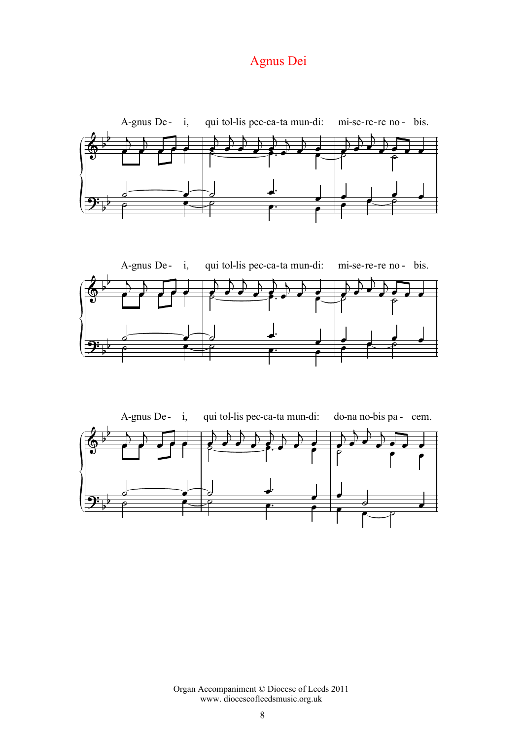# Agnus Dei







Organ Accompaniment © Diocese of Leeds 2011 www. dioceseofleedsmusic.org.uk